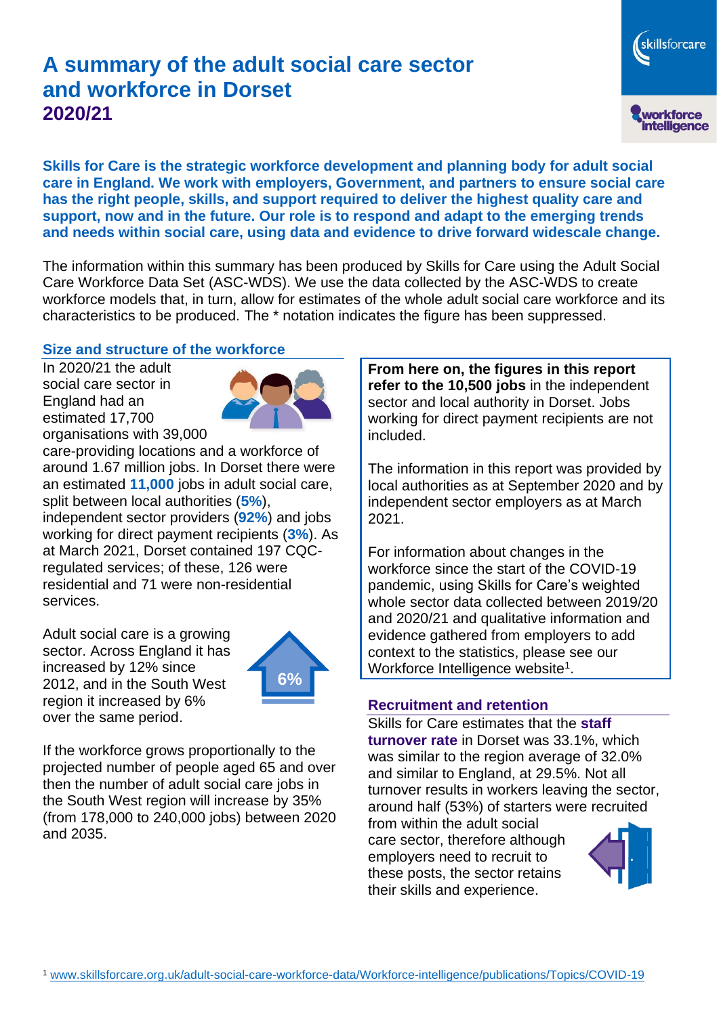# **A summary of the adult social care sector and workforce in Dorset 2020/21**

skillsforcare workforce<br>intelligence

**Skills for Care is the strategic workforce development and planning body for adult social care in England. We work with employers, Government, and partners to ensure social care has the right people, skills, and support required to deliver the highest quality care and support, now and in the future. Our role is to respond and adapt to the emerging trends and needs within social care, using data and evidence to drive forward widescale change.**

The information within this summary has been produced by Skills for Care using the Adult Social Care Workforce Data Set (ASC-WDS). We use the data collected by the ASC-WDS to create workforce models that, in turn, allow for estimates of the whole adult social care workforce and its characteristics to be produced. The \* notation indicates the figure has been suppressed.

#### **Size and structure of the workforce**

In 2020/21 the adult social care sector in England had an estimated 17,700 organisations with 39,000



care-providing locations and a workforce of around 1.67 million jobs. In Dorset there were an estimated **11,000** jobs in adult social care, split between local authorities (**5%**), independent sector providers (**92%**) and jobs working for direct payment recipients (**3%**). As at March 2021, Dorset contained 197 CQCregulated services; of these, 126 were residential and 71 were non-residential services.

Adult social care is a growing sector. Across England it has increased by 12% since 2012, and in the South West region it increased by 6% over the same period.



If the workforce grows proportionally to the projected number of people aged 65 and over then the number of adult social care jobs in the South West region will increase by 35% (from 178,000 to 240,000 jobs) between 2020 and 2035.

**From here on, the figures in this report refer to the 10,500 jobs** in the independent sector and local authority in Dorset. Jobs working for direct payment recipients are not included.

The information in this report was provided by local authorities as at September 2020 and by independent sector employers as at March 2021.

For information about changes in the workforce since the start of the COVID-19 pandemic, using Skills for Care's weighted whole sector data collected between 2019/20 and 2020/21 and qualitative information and evidence gathered from employers to add context to the statistics, please see our Workforce Intelligence website<sup>1</sup>.

#### **Recruitment and retention**

Skills for Care estimates that the **staff turnover rate** in Dorset was 33.1%, which was similar to the region average of 32.0% and similar to England, at 29.5%. Not all turnover results in workers leaving the sector, around half (53%) of starters were recruited

from within the adult social care sector, therefore although employers need to recruit to these posts, the sector retains their skills and experience.

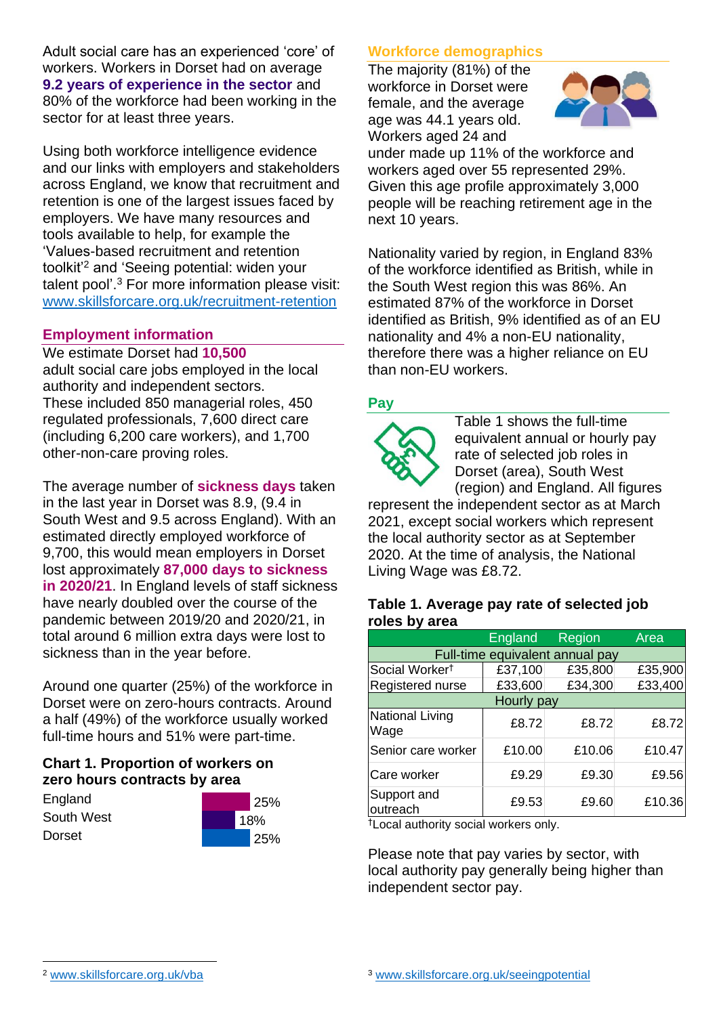Adult social care has an experienced 'core' of workers. Workers in Dorset had on average **9.2 years of experience in the sector** and 80% of the workforce had been working in the sector for at least three years.

Using both workforce intelligence evidence and our links with employers and stakeholders across England, we know that recruitment and retention is one of the largest issues faced by employers. We have many resources and tools available to help, for example the 'Values-based recruitment and retention toolkit'<sup>2</sup> and 'Seeing potential: widen your talent pool'. <sup>3</sup> For more information please visit: [www.skillsforcare.org.uk/recruitment-retention](http://www.skillsforcare.org.uk/recruitment-retention)

#### **Employment information**

We estimate Dorset had **10,500** adult social care jobs employed in the local authority and independent sectors. These included 850 managerial roles, 450 regulated professionals, 7,600 direct care (including 6,200 care workers), and 1,700 other-non-care proving roles.

The average number of **sickness days** taken in the last year in Dorset was 8.9, (9.4 in South West and 9.5 across England). With an estimated directly employed workforce of 9,700, this would mean employers in Dorset lost approximately **87,000 days to sickness in 2020/21**. In England levels of staff sickness have nearly doubled over the course of the pandemic between 2019/20 and 2020/21, in total around 6 million extra days were lost to sickness than in the year before.

Around one quarter (25%) of the workforce in Dorset were on zero-hours contracts. Around a half (49%) of the workforce usually worked full-time hours and 51% were part-time.

### **Chart 1. Proportion of workers on zero hours contracts by area**

**England** South West Dorset



### **Workforce demographics**

The majority (81%) of the workforce in Dorset were female, and the average age was 44.1 years old. Workers aged 24 and



under made up 11% of the workforce and workers aged over 55 represented 29%. Given this age profile approximately 3,000 people will be reaching retirement age in the next 10 years.

Nationality varied by region, in England 83% of the workforce identified as British, while in the South West region this was 86%. An estimated 87% of the workforce in Dorset identified as British, 9% identified as of an EU nationality and 4% a non-EU nationality, therefore there was a higher reliance on EU than non-EU workers.

### **Pay**



Table 1 shows the full-time equivalent annual or hourly pay rate of selected job roles in Dorset (area), South West (region) and England. All figures

represent the independent sector as at March 2021, except social workers which represent the local authority sector as at September 2020. At the time of analysis, the National Living Wage was £8.72.

#### **Table 1. Average pay rate of selected job roles by area**

|                                 | <b>England</b> | Region  | Area    |
|---------------------------------|----------------|---------|---------|
| Full-time equivalent annual pay |                |         |         |
| Social Worker <sup>t</sup>      | £37,100        | £35,800 | £35,900 |
| Registered nurse                | £33,600        | £34,300 | £33,400 |
| Hourly pay                      |                |         |         |
| National Living<br>Wage         | £8.72          | £8.72   | £8.72   |
| Senior care worker              | £10.00         | £10.06  | £10.47  |
| Care worker                     | £9.29          | £9.30   | £9.56   |
| Support and<br>outreach         | £9.53          | £9.60   | £10.36  |

†Local authority social workers only.

Please note that pay varies by sector, with local authority pay generally being higher than independent sector pay.

[www.skillsforcare.org.uk/vba](http://www.skillsforcare.org.uk/vba)